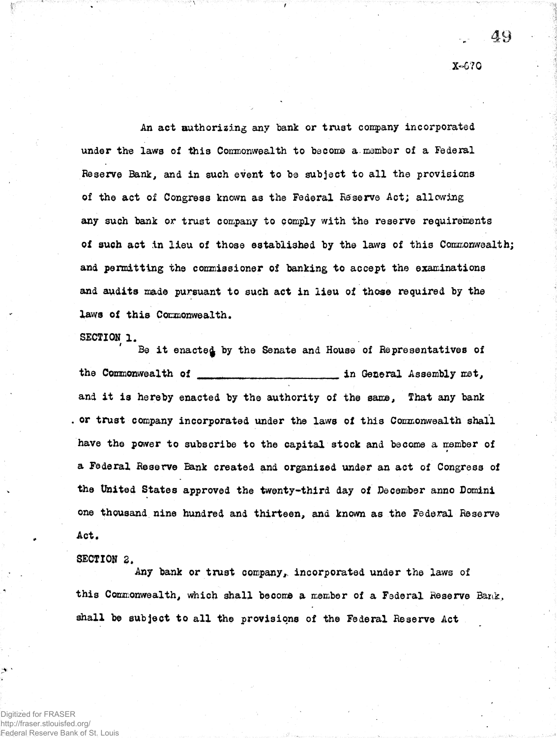An act authorizing any bank or trust company incorporated under the laws of this Commonwealth to become a member of a Federal Reserve Bank, and in such event to be subject to all the provisions of the act of Congress known as the Federal Reserve Act; allowing any such bank or trust company to comply with the reserve requirements of such act in lieu of those established by the laws of this Commonwealth; and permitting the commissioner of banking to accept the examinations and audits made pursuant to such act in lieu of those required by the laws of this Commonwealth.

## SECTION 1.

Be it enacted by the Senate and House of Representatives of the Commonwealth of in General Assembly met, and it is hereby enacted by the authority of the same. That any bank . or trust company incorporated under the laws of this Commonwealth shall have the power to subscribe to the capital stock and become a member of a Federal Reserve Bank created and organized under an act of Congress of the United States approved the twenty-third day of December anno Domini one thousand nine hundred and thirteen, and known as the Federal Reserve Act.

## SECTION 2.

Any bank or trust company, incorporated under the laws of this Commonwealth, which shall become a member of a Federal Reserve Bank, shall be subject to all the provisions of the Federal Reserve Act

Digitized for FRASER http://fraser.stlouisfed.org/ ederal Reserve Bank of St. Louis

## X-670

 $\Delta$